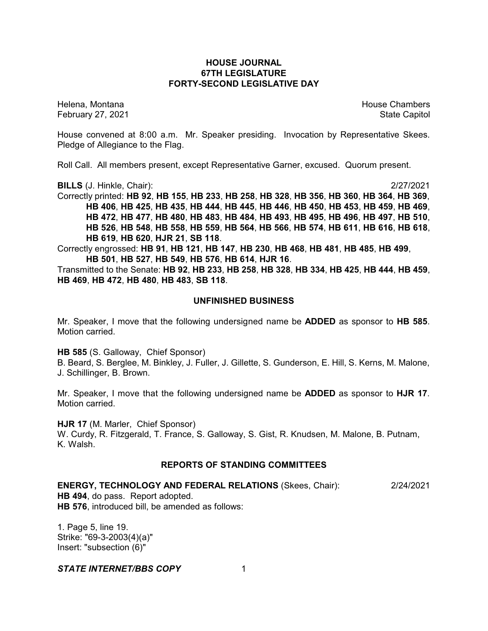# **HOUSE JOURNAL 67TH LEGISLATURE FORTY-SECOND LEGISLATIVE DAY**

February 27, 2021 **State Capitol** 

Helena, Montana House Chambers Chambers Chambers and House Chambers Chambers Chambers Chambers Chambers Chambers Chambers Chambers Chambers Chambers Chambers Chambers Chambers Chambers Chambers Chambers Chambers Chambers C

House convened at 8:00 a.m. Mr. Speaker presiding. Invocation by Representative Skees. Pledge of Allegiance to the Flag.

Roll Call. All members present, except Representative Garner, excused. Quorum present.

**BILLS** (J. Hinkle, Chair): 2/27/2021

Correctly printed: **HB 92**, **HB 155**, **HB 233**, **HB 258**, **HB 328**, **HB 356**, **HB 360**, **HB 364**, **HB 369**, **HB 406**, **HB 425**, **HB 435**, **HB 444**, **HB 445**, **HB 446**, **HB 450**, **HB 453**, **HB 459**, **HB 469**, **HB 472**, **HB 477**, **HB 480**, **HB 483**, **HB 484**, **HB 493**, **HB 495**, **HB 496**, **HB 497**, **HB 510**, **HB 526**, **HB 548**, **HB 558**, **HB 559**, **HB 564**, **HB 566**, **HB 574**, **HB 611**, **HB 616**, **HB 618**, **HB 619**, **HB 620**, **HJR 21**, **SB 118**.

Correctly engrossed: **HB 91**, **HB 121**, **HB 147**, **HB 230**, **HB 468**, **HB 481**, **HB 485**, **HB 499**, **HB 501**, **HB 527**, **HB 549**, **HB 576**, **HB 614**, **HJR 16**.

Transmitted to the Senate: **HB 92**, **HB 233**, **HB 258**, **HB 328**, **HB 334**, **HB 425**, **HB 444**, **HB 459**, **HB 469**, **HB 472**, **HB 480**, **HB 483**, **SB 118**.

#### **UNFINISHED BUSINESS**

Mr. Speaker, I move that the following undersigned name be **ADDED** as sponsor to **HB 585**. Motion carried.

**HB 585** (S. Galloway, Chief Sponsor)

B. Beard, S. Berglee, M. Binkley, J. Fuller, J. Gillette, S. Gunderson, E. Hill, S. Kerns, M. Malone, J. Schillinger, B. Brown.

Mr. Speaker, I move that the following undersigned name be **ADDED** as sponsor to **HJR 17**. Motion carried.

**HJR 17** (M. Marler, Chief Sponsor)

W. Curdy, R. Fitzgerald, T. France, S. Galloway, S. Gist, R. Knudsen, M. Malone, B. Putnam, K. Walsh.

# **REPORTS OF STANDING COMMITTEES**

**ENERGY, TECHNOLOGY AND FEDERAL RELATIONS** (Skees, Chair): 2/24/2021

**HB 494**, do pass. Report adopted. **HB 576**, introduced bill, be amended as follows:

1. Page 5, line 19. Strike: "69-3-2003(4)(a)" Insert: "subsection (6)"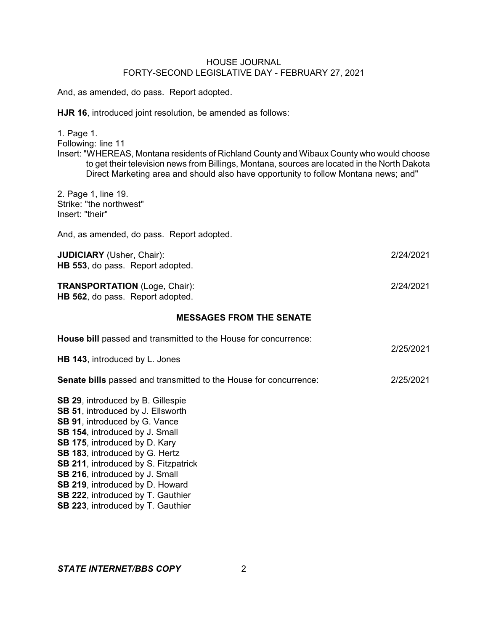And, as amended, do pass. Report adopted.

**HJR 16**, introduced joint resolution, be amended as follows:

1. Page 1. Following: line 11 Insert: "WHEREAS, Montana residents of Richland County and Wibaux County who would choose to get their television news from Billings, Montana, sources are located in the North Dakota Direct Marketing area and should also have opportunity to follow Montana news; and"

2. Page 1, line 19. Strike: "the northwest" Insert: "their"

And, as amended, do pass. Report adopted.

**JUDICIARY** (Usher, Chair): 2/24/2021 **HB 553**, do pass. Report adopted.

**TRANSPORTATION** (Loge, Chair): 2/24/2021 **HB 562**, do pass. Report adopted.

#### **MESSAGES FROM THE SENATE**

| House bill passed and transmitted to the House for concurrence:                                                                                                                                                                                                                                                                                                            |           |
|----------------------------------------------------------------------------------------------------------------------------------------------------------------------------------------------------------------------------------------------------------------------------------------------------------------------------------------------------------------------------|-----------|
| HB 143, introduced by L. Jones                                                                                                                                                                                                                                                                                                                                             | 2/25/2021 |
| <b>Senate bills</b> passed and transmitted to the House for concurrence:                                                                                                                                                                                                                                                                                                   | 2/25/2021 |
| <b>SB 29, introduced by B. Gillespie</b><br><b>SB 51, introduced by J. Ellsworth</b><br><b>SB 91, introduced by G. Vance</b><br>SB 154, introduced by J. Small<br><b>SB 175, introduced by D. Kary</b><br><b>SB 183, introduced by G. Hertz</b><br><b>SB 211, introduced by S. Fitzpatrick</b><br><b>SB 216, introduced by J. Small</b><br>SB 219, introduced by D. Howard |           |
| <b>SB 222, introduced by T. Gauthier</b>                                                                                                                                                                                                                                                                                                                                   |           |

**SB 223**, introduced by T. Gauthier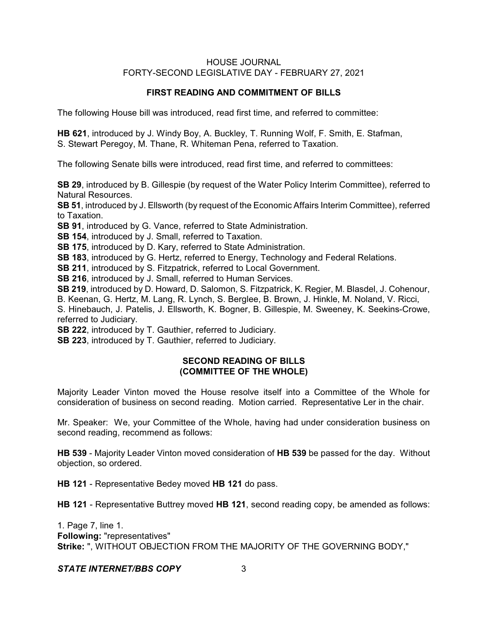# **FIRST READING AND COMMITMENT OF BILLS**

The following House bill was introduced, read first time, and referred to committee:

**HB 621**, introduced by J. Windy Boy, A. Buckley, T. Running Wolf, F. Smith, E. Stafman, S. Stewart Peregoy, M. Thane, R. Whiteman Pena, referred to Taxation.

The following Senate bills were introduced, read first time, and referred to committees:

**SB 29**, introduced by B. Gillespie (by request of the Water Policy Interim Committee), referred to Natural Resources.

**SB 51**, introduced by J. Ellsworth (by request of the Economic Affairs Interim Committee), referred to Taxation.

**SB 91**, introduced by G. Vance, referred to State Administration.

**SB 154**, introduced by J. Small, referred to Taxation.

**SB 175**, introduced by D. Kary, referred to State Administration.

**SB 183**, introduced by G. Hertz, referred to Energy, Technology and Federal Relations.

**SB 211**, introduced by S. Fitzpatrick, referred to Local Government.

**SB 216**, introduced by J. Small, referred to Human Services.

**SB 219**, introduced by D. Howard, D. Salomon, S. Fitzpatrick, K. Regier, M. Blasdel, J. Cohenour, B. Keenan, G. Hertz, M. Lang, R. Lynch, S. Berglee, B. Brown, J. Hinkle, M. Noland, V. Ricci,

S. Hinebauch, J. Patelis, J. Ellsworth, K. Bogner, B. Gillespie, M. Sweeney, K. Seekins-Crowe, referred to Judiciary.

**SB 222**, introduced by T. Gauthier, referred to Judiciary.

**SB 223**, introduced by T. Gauthier, referred to Judiciary.

# **SECOND READING OF BILLS (COMMITTEE OF THE WHOLE)**

Majority Leader Vinton moved the House resolve itself into a Committee of the Whole for consideration of business on second reading. Motion carried. Representative Ler in the chair.

Mr. Speaker: We, your Committee of the Whole, having had under consideration business on second reading, recommend as follows:

**HB 539** - Majority Leader Vinton moved consideration of **HB 539** be passed for the day. Without objection, so ordered.

**HB 121** - Representative Bedey moved **HB 121** do pass.

**HB 121** - Representative Buttrey moved **HB 121**, second reading copy, be amended as follows:

1. Page 7, line 1. **Following:** "representatives" **Strike:** ", WITHOUT OBJECTION FROM THE MAJORITY OF THE GOVERNING BODY,"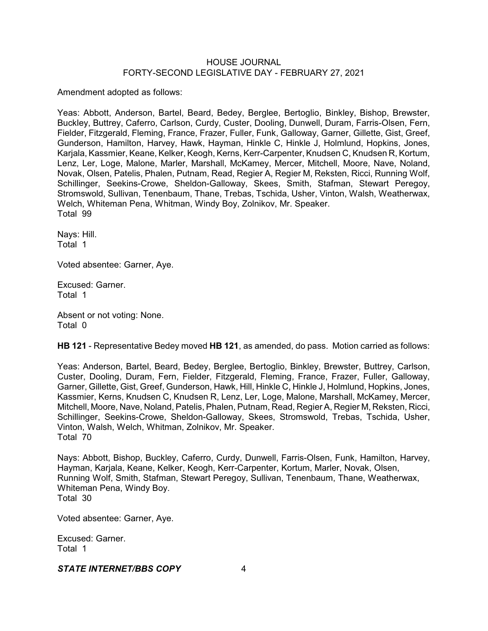Amendment adopted as follows:

Yeas: Abbott, Anderson, Bartel, Beard, Bedey, Berglee, Bertoglio, Binkley, Bishop, Brewster, Buckley, Buttrey, Caferro, Carlson, Curdy, Custer, Dooling, Dunwell, Duram, Farris-Olsen, Fern, Fielder, Fitzgerald, Fleming, France, Frazer, Fuller, Funk, Galloway, Garner, Gillette, Gist, Greef, Gunderson, Hamilton, Harvey, Hawk, Hayman, Hinkle C, Hinkle J, Holmlund, Hopkins, Jones, Karjala, Kassmier, Keane, Kelker, Keogh, Kerns, Kerr-Carpenter, Knudsen C, Knudsen R, Kortum, Lenz, Ler, Loge, Malone, Marler, Marshall, McKamey, Mercer, Mitchell, Moore, Nave, Noland, Novak, Olsen, Patelis, Phalen, Putnam, Read, Regier A, Regier M, Reksten, Ricci, Running Wolf, Schillinger, Seekins-Crowe, Sheldon-Galloway, Skees, Smith, Stafman, Stewart Peregoy, Stromswold, Sullivan, Tenenbaum, Thane, Trebas, Tschida, Usher, Vinton, Walsh, Weatherwax, Welch, Whiteman Pena, Whitman, Windy Boy, Zolnikov, Mr. Speaker. Total 99

Nays: Hill. Total 1

Voted absentee: Garner, Aye.

Excused: Garner. Total 1

Absent or not voting: None. Total 0

**HB 121** - Representative Bedey moved **HB 121**, as amended, do pass. Motion carried as follows:

Yeas: Anderson, Bartel, Beard, Bedey, Berglee, Bertoglio, Binkley, Brewster, Buttrey, Carlson, Custer, Dooling, Duram, Fern, Fielder, Fitzgerald, Fleming, France, Frazer, Fuller, Galloway, Garner, Gillette, Gist, Greef, Gunderson, Hawk, Hill, Hinkle C, Hinkle J, Holmlund, Hopkins, Jones, Kassmier, Kerns, Knudsen C, Knudsen R, Lenz, Ler, Loge, Malone, Marshall, McKamey, Mercer, Mitchell, Moore, Nave, Noland, Patelis, Phalen, Putnam, Read, Regier A, Regier M, Reksten, Ricci, Schillinger, Seekins-Crowe, Sheldon-Galloway, Skees, Stromswold, Trebas, Tschida, Usher, Vinton, Walsh, Welch, Whitman, Zolnikov, Mr. Speaker. Total 70

Nays: Abbott, Bishop, Buckley, Caferro, Curdy, Dunwell, Farris-Olsen, Funk, Hamilton, Harvey, Hayman, Karjala, Keane, Kelker, Keogh, Kerr-Carpenter, Kortum, Marler, Novak, Olsen, Running Wolf, Smith, Stafman, Stewart Peregoy, Sullivan, Tenenbaum, Thane, Weatherwax, Whiteman Pena, Windy Boy. Total 30

Voted absentee: Garner, Aye.

Excused: Garner. Total 1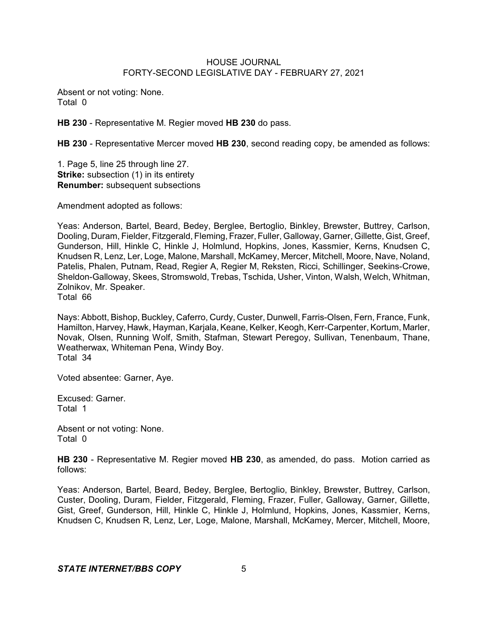Absent or not voting: None. Total 0

**HB 230** - Representative M. Regier moved **HB 230** do pass.

**HB 230** - Representative Mercer moved **HB 230**, second reading copy, be amended as follows:

1. Page 5, line 25 through line 27. **Strike:** subsection (1) in its entirety **Renumber:** subsequent subsections

Amendment adopted as follows:

Yeas: Anderson, Bartel, Beard, Bedey, Berglee, Bertoglio, Binkley, Brewster, Buttrey, Carlson, Dooling, Duram, Fielder, Fitzgerald, Fleming, Frazer, Fuller, Galloway, Garner, Gillette, Gist, Greef, Gunderson, Hill, Hinkle C, Hinkle J, Holmlund, Hopkins, Jones, Kassmier, Kerns, Knudsen C, Knudsen R, Lenz, Ler, Loge, Malone, Marshall, McKamey, Mercer, Mitchell, Moore, Nave, Noland, Patelis, Phalen, Putnam, Read, Regier A, Regier M, Reksten, Ricci, Schillinger, Seekins-Crowe, Sheldon-Galloway, Skees, Stromswold, Trebas, Tschida, Usher, Vinton, Walsh, Welch, Whitman, Zolnikov, Mr. Speaker. Total 66

Nays: Abbott, Bishop, Buckley, Caferro, Curdy, Custer, Dunwell, Farris-Olsen, Fern, France, Funk, Hamilton, Harvey, Hawk, Hayman, Karjala, Keane, Kelker, Keogh, Kerr-Carpenter, Kortum, Marler, Novak, Olsen, Running Wolf, Smith, Stafman, Stewart Peregoy, Sullivan, Tenenbaum, Thane, Weatherwax, Whiteman Pena, Windy Boy. Total 34

Voted absentee: Garner, Aye.

Excused: Garner. Total 1

Absent or not voting: None. Total 0

**HB 230** - Representative M. Regier moved **HB 230**, as amended, do pass. Motion carried as follows:

Yeas: Anderson, Bartel, Beard, Bedey, Berglee, Bertoglio, Binkley, Brewster, Buttrey, Carlson, Custer, Dooling, Duram, Fielder, Fitzgerald, Fleming, Frazer, Fuller, Galloway, Garner, Gillette, Gist, Greef, Gunderson, Hill, Hinkle C, Hinkle J, Holmlund, Hopkins, Jones, Kassmier, Kerns, Knudsen C, Knudsen R, Lenz, Ler, Loge, Malone, Marshall, McKamey, Mercer, Mitchell, Moore,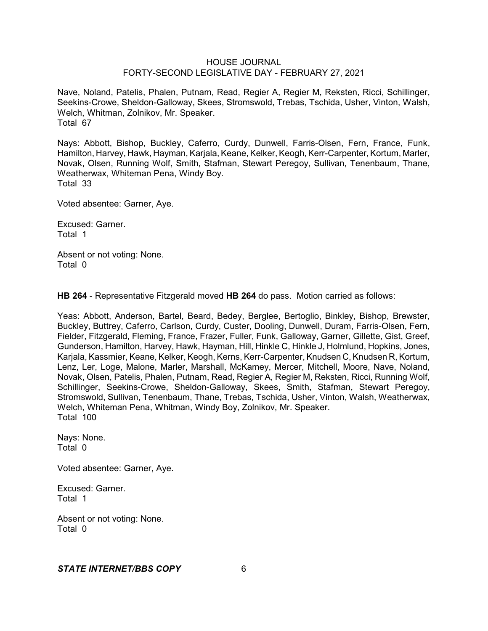Nave, Noland, Patelis, Phalen, Putnam, Read, Regier A, Regier M, Reksten, Ricci, Schillinger, Seekins-Crowe, Sheldon-Galloway, Skees, Stromswold, Trebas, Tschida, Usher, Vinton, Walsh, Welch, Whitman, Zolnikov, Mr. Speaker. Total 67

Nays: Abbott, Bishop, Buckley, Caferro, Curdy, Dunwell, Farris-Olsen, Fern, France, Funk, Hamilton, Harvey, Hawk, Hayman, Karjala, Keane, Kelker, Keogh, Kerr-Carpenter, Kortum, Marler, Novak, Olsen, Running Wolf, Smith, Stafman, Stewart Peregoy, Sullivan, Tenenbaum, Thane, Weatherwax, Whiteman Pena, Windy Boy. Total 33

Voted absentee: Garner, Aye.

Excused: Garner. Total 1

Absent or not voting: None. Total 0

**HB 264** - Representative Fitzgerald moved **HB 264** do pass. Motion carried as follows:

Yeas: Abbott, Anderson, Bartel, Beard, Bedey, Berglee, Bertoglio, Binkley, Bishop, Brewster, Buckley, Buttrey, Caferro, Carlson, Curdy, Custer, Dooling, Dunwell, Duram, Farris-Olsen, Fern, Fielder, Fitzgerald, Fleming, France, Frazer, Fuller, Funk, Galloway, Garner, Gillette, Gist, Greef, Gunderson, Hamilton, Harvey, Hawk, Hayman, Hill, Hinkle C, Hinkle J, Holmlund, Hopkins, Jones, Karjala, Kassmier, Keane, Kelker, Keogh, Kerns, Kerr-Carpenter, Knudsen C, Knudsen R, Kortum, Lenz, Ler, Loge, Malone, Marler, Marshall, McKamey, Mercer, Mitchell, Moore, Nave, Noland, Novak, Olsen, Patelis, Phalen, Putnam, Read, Regier A, Regier M, Reksten, Ricci, Running Wolf, Schillinger, Seekins-Crowe, Sheldon-Galloway, Skees, Smith, Stafman, Stewart Peregoy, Stromswold, Sullivan, Tenenbaum, Thane, Trebas, Tschida, Usher, Vinton, Walsh, Weatherwax, Welch, Whiteman Pena, Whitman, Windy Boy, Zolnikov, Mr. Speaker. Total 100

Nays: None. Total 0

Voted absentee: Garner, Aye.

Excused: Garner. Total 1

Absent or not voting: None. Total 0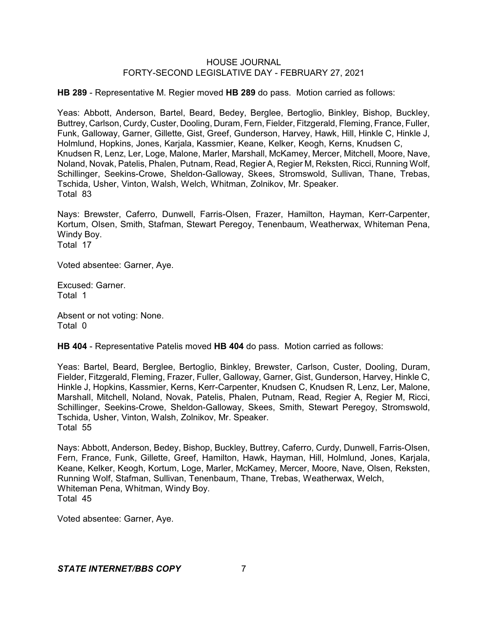**HB 289** - Representative M. Regier moved **HB 289** do pass. Motion carried as follows:

Yeas: Abbott, Anderson, Bartel, Beard, Bedey, Berglee, Bertoglio, Binkley, Bishop, Buckley, Buttrey, Carlson, Curdy, Custer, Dooling, Duram, Fern, Fielder, Fitzgerald, Fleming, France, Fuller, Funk, Galloway, Garner, Gillette, Gist, Greef, Gunderson, Harvey, Hawk, Hill, Hinkle C, Hinkle J, Holmlund, Hopkins, Jones, Karjala, Kassmier, Keane, Kelker, Keogh, Kerns, Knudsen C, Knudsen R, Lenz, Ler, Loge, Malone, Marler, Marshall, McKamey, Mercer, Mitchell, Moore, Nave, Noland, Novak, Patelis, Phalen, Putnam, Read, Regier A, Regier M, Reksten, Ricci, Running Wolf, Schillinger, Seekins-Crowe, Sheldon-Galloway, Skees, Stromswold, Sullivan, Thane, Trebas, Tschida, Usher, Vinton, Walsh, Welch, Whitman, Zolnikov, Mr. Speaker. Total 83

Nays: Brewster, Caferro, Dunwell, Farris-Olsen, Frazer, Hamilton, Hayman, Kerr-Carpenter, Kortum, Olsen, Smith, Stafman, Stewart Peregoy, Tenenbaum, Weatherwax, Whiteman Pena, Windy Boy. Total 17

Voted absentee: Garner, Aye.

Excused: Garner. Total 1

Absent or not voting: None. Total 0

**HB 404** - Representative Patelis moved **HB 404** do pass. Motion carried as follows:

Yeas: Bartel, Beard, Berglee, Bertoglio, Binkley, Brewster, Carlson, Custer, Dooling, Duram, Fielder, Fitzgerald, Fleming, Frazer, Fuller, Galloway, Garner, Gist, Gunderson, Harvey, Hinkle C, Hinkle J, Hopkins, Kassmier, Kerns, Kerr-Carpenter, Knudsen C, Knudsen R, Lenz, Ler, Malone, Marshall, Mitchell, Noland, Novak, Patelis, Phalen, Putnam, Read, Regier A, Regier M, Ricci, Schillinger, Seekins-Crowe, Sheldon-Galloway, Skees, Smith, Stewart Peregoy, Stromswold, Tschida, Usher, Vinton, Walsh, Zolnikov, Mr. Speaker. Total 55

Nays: Abbott, Anderson, Bedey, Bishop, Buckley, Buttrey, Caferro, Curdy, Dunwell, Farris-Olsen, Fern, France, Funk, Gillette, Greef, Hamilton, Hawk, Hayman, Hill, Holmlund, Jones, Karjala, Keane, Kelker, Keogh, Kortum, Loge, Marler, McKamey, Mercer, Moore, Nave, Olsen, Reksten, Running Wolf, Stafman, Sullivan, Tenenbaum, Thane, Trebas, Weatherwax, Welch, Whiteman Pena, Whitman, Windy Boy. Total 45

Voted absentee: Garner, Aye.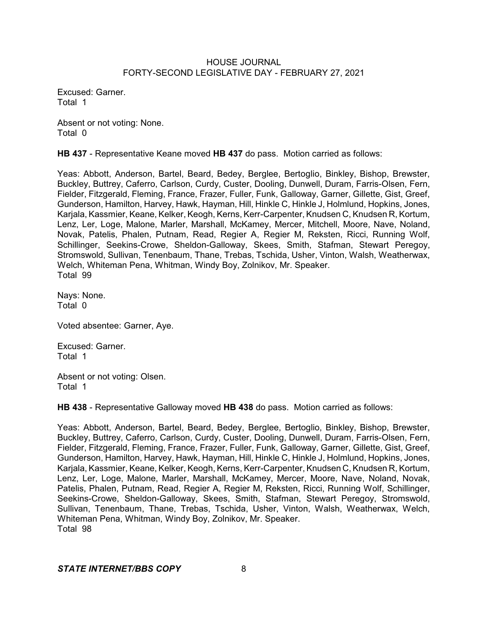Excused: Garner. Total 1

Absent or not voting: None. Total 0

**HB 437** - Representative Keane moved **HB 437** do pass. Motion carried as follows:

Yeas: Abbott, Anderson, Bartel, Beard, Bedey, Berglee, Bertoglio, Binkley, Bishop, Brewster, Buckley, Buttrey, Caferro, Carlson, Curdy, Custer, Dooling, Dunwell, Duram, Farris-Olsen, Fern, Fielder, Fitzgerald, Fleming, France, Frazer, Fuller, Funk, Galloway, Garner, Gillette, Gist, Greef, Gunderson, Hamilton, Harvey, Hawk, Hayman, Hill, Hinkle C, Hinkle J, Holmlund, Hopkins, Jones, Karjala, Kassmier, Keane, Kelker, Keogh, Kerns, Kerr-Carpenter, Knudsen C, Knudsen R, Kortum, Lenz, Ler, Loge, Malone, Marler, Marshall, McKamey, Mercer, Mitchell, Moore, Nave, Noland, Novak, Patelis, Phalen, Putnam, Read, Regier A, Regier M, Reksten, Ricci, Running Wolf, Schillinger, Seekins-Crowe, Sheldon-Galloway, Skees, Smith, Stafman, Stewart Peregoy, Stromswold, Sullivan, Tenenbaum, Thane, Trebas, Tschida, Usher, Vinton, Walsh, Weatherwax, Welch, Whiteman Pena, Whitman, Windy Boy, Zolnikov, Mr. Speaker. Total 99

Nays: None. Total 0

Voted absentee: Garner, Aye.

Excused: Garner. Total 1

Absent or not voting: Olsen. Total 1

**HB 438** - Representative Galloway moved **HB 438** do pass. Motion carried as follows:

Yeas: Abbott, Anderson, Bartel, Beard, Bedey, Berglee, Bertoglio, Binkley, Bishop, Brewster, Buckley, Buttrey, Caferro, Carlson, Curdy, Custer, Dooling, Dunwell, Duram, Farris-Olsen, Fern, Fielder, Fitzgerald, Fleming, France, Frazer, Fuller, Funk, Galloway, Garner, Gillette, Gist, Greef, Gunderson, Hamilton, Harvey, Hawk, Hayman, Hill, Hinkle C, Hinkle J, Holmlund, Hopkins, Jones, Karjala, Kassmier, Keane, Kelker, Keogh, Kerns, Kerr-Carpenter, Knudsen C, Knudsen R, Kortum, Lenz, Ler, Loge, Malone, Marler, Marshall, McKamey, Mercer, Moore, Nave, Noland, Novak, Patelis, Phalen, Putnam, Read, Regier A, Regier M, Reksten, Ricci, Running Wolf, Schillinger, Seekins-Crowe, Sheldon-Galloway, Skees, Smith, Stafman, Stewart Peregoy, Stromswold, Sullivan, Tenenbaum, Thane, Trebas, Tschida, Usher, Vinton, Walsh, Weatherwax, Welch, Whiteman Pena, Whitman, Windy Boy, Zolnikov, Mr. Speaker. Total 98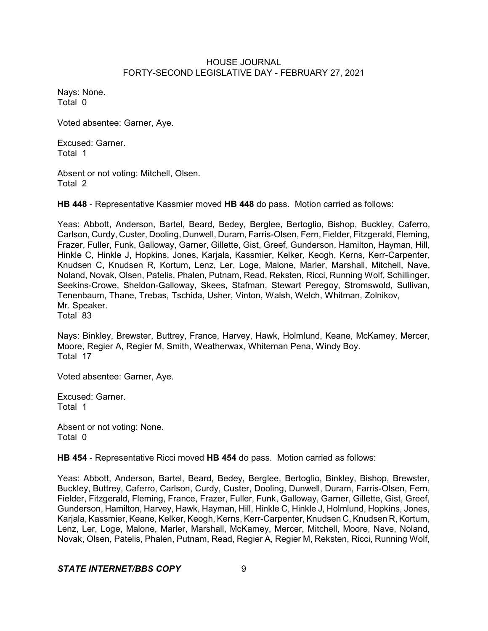Nays: None. Total 0

Voted absentee: Garner, Aye.

Excused: Garner. Total 1

Absent or not voting: Mitchell, Olsen. Total 2

**HB 448** - Representative Kassmier moved **HB 448** do pass. Motion carried as follows:

Yeas: Abbott, Anderson, Bartel, Beard, Bedey, Berglee, Bertoglio, Bishop, Buckley, Caferro, Carlson, Curdy, Custer, Dooling, Dunwell, Duram, Farris-Olsen, Fern, Fielder, Fitzgerald, Fleming, Frazer, Fuller, Funk, Galloway, Garner, Gillette, Gist, Greef, Gunderson, Hamilton, Hayman, Hill, Hinkle C, Hinkle J, Hopkins, Jones, Karjala, Kassmier, Kelker, Keogh, Kerns, Kerr-Carpenter, Knudsen C, Knudsen R, Kortum, Lenz, Ler, Loge, Malone, Marler, Marshall, Mitchell, Nave, Noland, Novak, Olsen, Patelis, Phalen, Putnam, Read, Reksten, Ricci, Running Wolf, Schillinger, Seekins-Crowe, Sheldon-Galloway, Skees, Stafman, Stewart Peregoy, Stromswold, Sullivan, Tenenbaum, Thane, Trebas, Tschida, Usher, Vinton, Walsh, Welch, Whitman, Zolnikov, Mr. Speaker. Total 83

Nays: Binkley, Brewster, Buttrey, France, Harvey, Hawk, Holmlund, Keane, McKamey, Mercer, Moore, Regier A, Regier M, Smith, Weatherwax, Whiteman Pena, Windy Boy. Total 17

Voted absentee: Garner, Aye.

Excused: Garner. Total 1

Absent or not voting: None. Total 0

**HB 454** - Representative Ricci moved **HB 454** do pass. Motion carried as follows:

Yeas: Abbott, Anderson, Bartel, Beard, Bedey, Berglee, Bertoglio, Binkley, Bishop, Brewster, Buckley, Buttrey, Caferro, Carlson, Curdy, Custer, Dooling, Dunwell, Duram, Farris-Olsen, Fern, Fielder, Fitzgerald, Fleming, France, Frazer, Fuller, Funk, Galloway, Garner, Gillette, Gist, Greef, Gunderson, Hamilton, Harvey, Hawk, Hayman, Hill, Hinkle C, Hinkle J, Holmlund, Hopkins, Jones, Karjala, Kassmier, Keane, Kelker, Keogh, Kerns, Kerr-Carpenter, Knudsen C, Knudsen R, Kortum, Lenz, Ler, Loge, Malone, Marler, Marshall, McKamey, Mercer, Mitchell, Moore, Nave, Noland, Novak, Olsen, Patelis, Phalen, Putnam, Read, Regier A, Regier M, Reksten, Ricci, Running Wolf,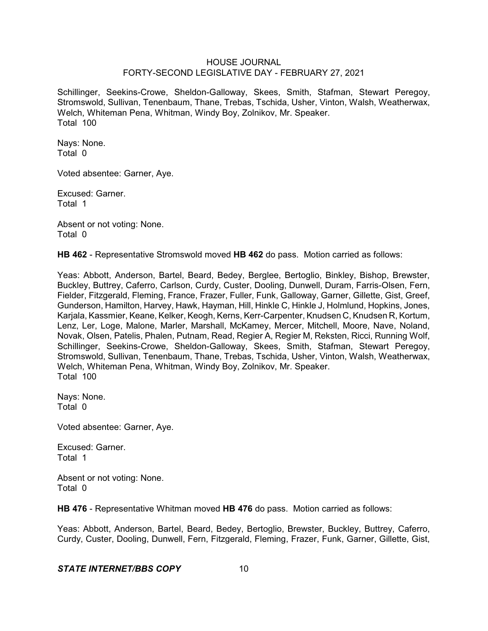Schillinger, Seekins-Crowe, Sheldon-Galloway, Skees, Smith, Stafman, Stewart Peregoy, Stromswold, Sullivan, Tenenbaum, Thane, Trebas, Tschida, Usher, Vinton, Walsh, Weatherwax, Welch, Whiteman Pena, Whitman, Windy Boy, Zolnikov, Mr. Speaker. Total 100

Nays: None. Total 0

Voted absentee: Garner, Aye.

Excused: Garner. Total 1

Absent or not voting: None. Total 0

**HB 462** - Representative Stromswold moved **HB 462** do pass. Motion carried as follows:

Yeas: Abbott, Anderson, Bartel, Beard, Bedey, Berglee, Bertoglio, Binkley, Bishop, Brewster, Buckley, Buttrey, Caferro, Carlson, Curdy, Custer, Dooling, Dunwell, Duram, Farris-Olsen, Fern, Fielder, Fitzgerald, Fleming, France, Frazer, Fuller, Funk, Galloway, Garner, Gillette, Gist, Greef, Gunderson, Hamilton, Harvey, Hawk, Hayman, Hill, Hinkle C, Hinkle J, Holmlund, Hopkins, Jones, Karjala, Kassmier, Keane, Kelker, Keogh, Kerns, Kerr-Carpenter, Knudsen C, Knudsen R, Kortum, Lenz, Ler, Loge, Malone, Marler, Marshall, McKamey, Mercer, Mitchell, Moore, Nave, Noland, Novak, Olsen, Patelis, Phalen, Putnam, Read, Regier A, Regier M, Reksten, Ricci, Running Wolf, Schillinger, Seekins-Crowe, Sheldon-Galloway, Skees, Smith, Stafman, Stewart Peregoy, Stromswold, Sullivan, Tenenbaum, Thane, Trebas, Tschida, Usher, Vinton, Walsh, Weatherwax, Welch, Whiteman Pena, Whitman, Windy Boy, Zolnikov, Mr. Speaker. Total 100

Nays: None. Total 0

Voted absentee: Garner, Aye.

Excused: Garner. Total 1

Absent or not voting: None. Total 0

**HB 476** - Representative Whitman moved **HB 476** do pass. Motion carried as follows:

Yeas: Abbott, Anderson, Bartel, Beard, Bedey, Bertoglio, Brewster, Buckley, Buttrey, Caferro, Curdy, Custer, Dooling, Dunwell, Fern, Fitzgerald, Fleming, Frazer, Funk, Garner, Gillette, Gist,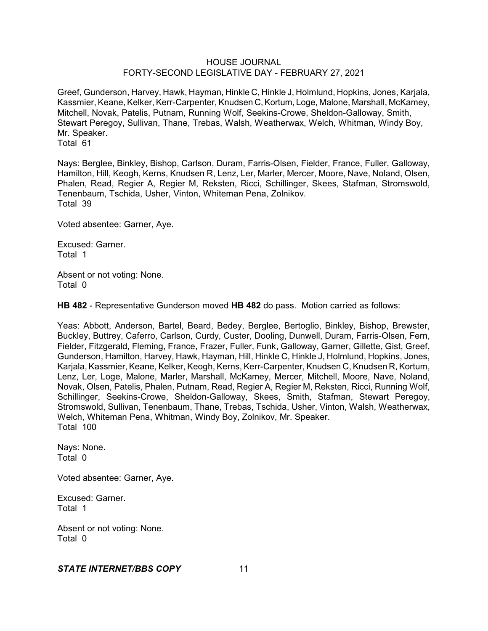Greef, Gunderson, Harvey, Hawk, Hayman, Hinkle C, Hinkle J, Holmlund, Hopkins, Jones, Karjala, Kassmier, Keane, Kelker, Kerr-Carpenter, Knudsen C,Kortum, Loge, Malone, Marshall, McKamey, Mitchell, Novak, Patelis, Putnam, Running Wolf, Seekins-Crowe, Sheldon-Galloway, Smith, Stewart Peregoy, Sullivan, Thane, Trebas, Walsh, Weatherwax, Welch, Whitman, Windy Boy, Mr. Speaker. Total 61

Nays: Berglee, Binkley, Bishop, Carlson, Duram, Farris-Olsen, Fielder, France, Fuller, Galloway, Hamilton, Hill, Keogh, Kerns, Knudsen R, Lenz, Ler, Marler, Mercer, Moore, Nave, Noland, Olsen, Phalen, Read, Regier A, Regier M, Reksten, Ricci, Schillinger, Skees, Stafman, Stromswold, Tenenbaum, Tschida, Usher, Vinton, Whiteman Pena, Zolnikov. Total 39

Voted absentee: Garner, Aye.

Excused: Garner. Total 1

Absent or not voting: None. Total 0

**HB 482** - Representative Gunderson moved **HB 482** do pass. Motion carried as follows:

Yeas: Abbott, Anderson, Bartel, Beard, Bedey, Berglee, Bertoglio, Binkley, Bishop, Brewster, Buckley, Buttrey, Caferro, Carlson, Curdy, Custer, Dooling, Dunwell, Duram, Farris-Olsen, Fern, Fielder, Fitzgerald, Fleming, France, Frazer, Fuller, Funk, Galloway, Garner, Gillette, Gist, Greef, Gunderson, Hamilton, Harvey, Hawk, Hayman, Hill, Hinkle C, Hinkle J, Holmlund, Hopkins, Jones, Karjala, Kassmier, Keane, Kelker, Keogh, Kerns, Kerr-Carpenter, Knudsen C, Knudsen R, Kortum, Lenz, Ler, Loge, Malone, Marler, Marshall, McKamey, Mercer, Mitchell, Moore, Nave, Noland, Novak, Olsen, Patelis, Phalen, Putnam, Read, Regier A, Regier M, Reksten, Ricci, Running Wolf, Schillinger, Seekins-Crowe, Sheldon-Galloway, Skees, Smith, Stafman, Stewart Peregoy, Stromswold, Sullivan, Tenenbaum, Thane, Trebas, Tschida, Usher, Vinton, Walsh, Weatherwax, Welch, Whiteman Pena, Whitman, Windy Boy, Zolnikov, Mr. Speaker. Total 100

Nays: None. Total 0

Voted absentee: Garner, Aye.

Excused: Garner. Total 1

Absent or not voting: None. Total 0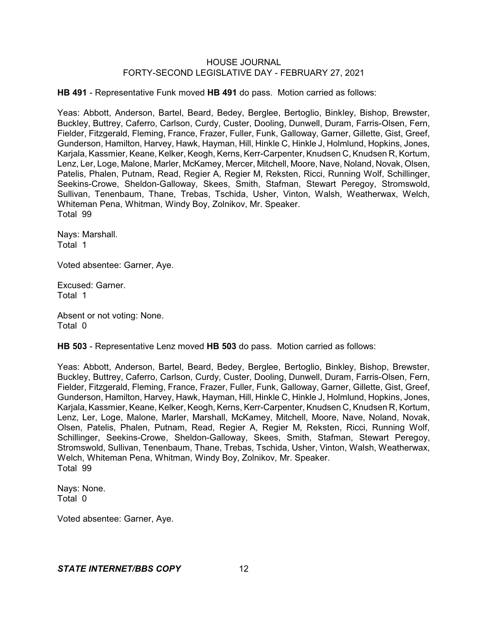**HB 491** - Representative Funk moved **HB 491** do pass. Motion carried as follows:

Yeas: Abbott, Anderson, Bartel, Beard, Bedey, Berglee, Bertoglio, Binkley, Bishop, Brewster, Buckley, Buttrey, Caferro, Carlson, Curdy, Custer, Dooling, Dunwell, Duram, Farris-Olsen, Fern, Fielder, Fitzgerald, Fleming, France, Frazer, Fuller, Funk, Galloway, Garner, Gillette, Gist, Greef, Gunderson, Hamilton, Harvey, Hawk, Hayman, Hill, Hinkle C, Hinkle J, Holmlund, Hopkins, Jones, Karjala, Kassmier, Keane, Kelker, Keogh, Kerns, Kerr-Carpenter, Knudsen C, Knudsen R, Kortum, Lenz, Ler, Loge, Malone, Marler, McKamey, Mercer, Mitchell, Moore, Nave, Noland, Novak, Olsen, Patelis, Phalen, Putnam, Read, Regier A, Regier M, Reksten, Ricci, Running Wolf, Schillinger, Seekins-Crowe, Sheldon-Galloway, Skees, Smith, Stafman, Stewart Peregoy, Stromswold, Sullivan, Tenenbaum, Thane, Trebas, Tschida, Usher, Vinton, Walsh, Weatherwax, Welch, Whiteman Pena, Whitman, Windy Boy, Zolnikov, Mr. Speaker. Total 99

Nays: Marshall. Total 1

Voted absentee: Garner, Aye.

Excused: Garner. Total 1

Absent or not voting: None. Total 0

**HB 503** - Representative Lenz moved **HB 503** do pass. Motion carried as follows:

Yeas: Abbott, Anderson, Bartel, Beard, Bedey, Berglee, Bertoglio, Binkley, Bishop, Brewster, Buckley, Buttrey, Caferro, Carlson, Curdy, Custer, Dooling, Dunwell, Duram, Farris-Olsen, Fern, Fielder, Fitzgerald, Fleming, France, Frazer, Fuller, Funk, Galloway, Garner, Gillette, Gist, Greef, Gunderson, Hamilton, Harvey, Hawk, Hayman, Hill, Hinkle C, Hinkle J, Holmlund, Hopkins, Jones, Karjala, Kassmier, Keane, Kelker, Keogh, Kerns, Kerr-Carpenter, Knudsen C, Knudsen R, Kortum, Lenz, Ler, Loge, Malone, Marler, Marshall, McKamey, Mitchell, Moore, Nave, Noland, Novak, Olsen, Patelis, Phalen, Putnam, Read, Regier A, Regier M, Reksten, Ricci, Running Wolf, Schillinger, Seekins-Crowe, Sheldon-Galloway, Skees, Smith, Stafman, Stewart Peregoy, Stromswold, Sullivan, Tenenbaum, Thane, Trebas, Tschida, Usher, Vinton, Walsh, Weatherwax, Welch, Whiteman Pena, Whitman, Windy Boy, Zolnikov, Mr. Speaker. Total 99

Nays: None. Total 0

Voted absentee: Garner, Aye.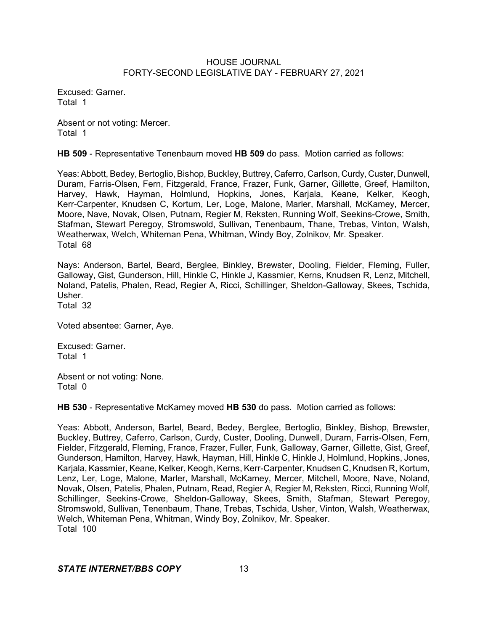Excused: Garner. Total 1

Absent or not voting: Mercer. Total 1

**HB 509** - Representative Tenenbaum moved **HB 509** do pass. Motion carried as follows:

Yeas:Abbott, Bedey, Bertoglio, Bishop, Buckley, Buttrey, Caferro, Carlson, Curdy, Custer, Dunwell, Duram, Farris-Olsen, Fern, Fitzgerald, France, Frazer, Funk, Garner, Gillette, Greef, Hamilton, Harvey, Hawk, Hayman, Holmlund, Hopkins, Jones, Karjala, Keane, Kelker, Keogh, Kerr-Carpenter, Knudsen C, Kortum, Ler, Loge, Malone, Marler, Marshall, McKamey, Mercer, Moore, Nave, Novak, Olsen, Putnam, Regier M, Reksten, Running Wolf, Seekins-Crowe, Smith, Stafman, Stewart Peregoy, Stromswold, Sullivan, Tenenbaum, Thane, Trebas, Vinton, Walsh, Weatherwax, Welch, Whiteman Pena, Whitman, Windy Boy, Zolnikov, Mr. Speaker. Total 68

Nays: Anderson, Bartel, Beard, Berglee, Binkley, Brewster, Dooling, Fielder, Fleming, Fuller, Galloway, Gist, Gunderson, Hill, Hinkle C, Hinkle J, Kassmier, Kerns, Knudsen R, Lenz, Mitchell, Noland, Patelis, Phalen, Read, Regier A, Ricci, Schillinger, Sheldon-Galloway, Skees, Tschida, Usher.

Total 32

Voted absentee: Garner, Aye.

Excused: Garner. Total 1

Absent or not voting: None. Total 0

**HB 530** - Representative McKamey moved **HB 530** do pass. Motion carried as follows:

Yeas: Abbott, Anderson, Bartel, Beard, Bedey, Berglee, Bertoglio, Binkley, Bishop, Brewster, Buckley, Buttrey, Caferro, Carlson, Curdy, Custer, Dooling, Dunwell, Duram, Farris-Olsen, Fern, Fielder, Fitzgerald, Fleming, France, Frazer, Fuller, Funk, Galloway, Garner, Gillette, Gist, Greef, Gunderson, Hamilton, Harvey, Hawk, Hayman, Hill, Hinkle C, Hinkle J, Holmlund, Hopkins, Jones, Karjala, Kassmier, Keane, Kelker, Keogh, Kerns, Kerr-Carpenter, Knudsen C, Knudsen R, Kortum, Lenz, Ler, Loge, Malone, Marler, Marshall, McKamey, Mercer, Mitchell, Moore, Nave, Noland, Novak, Olsen, Patelis, Phalen, Putnam, Read, Regier A, Regier M, Reksten, Ricci, Running Wolf, Schillinger, Seekins-Crowe, Sheldon-Galloway, Skees, Smith, Stafman, Stewart Peregoy, Stromswold, Sullivan, Tenenbaum, Thane, Trebas, Tschida, Usher, Vinton, Walsh, Weatherwax, Welch, Whiteman Pena, Whitman, Windy Boy, Zolnikov, Mr. Speaker. Total 100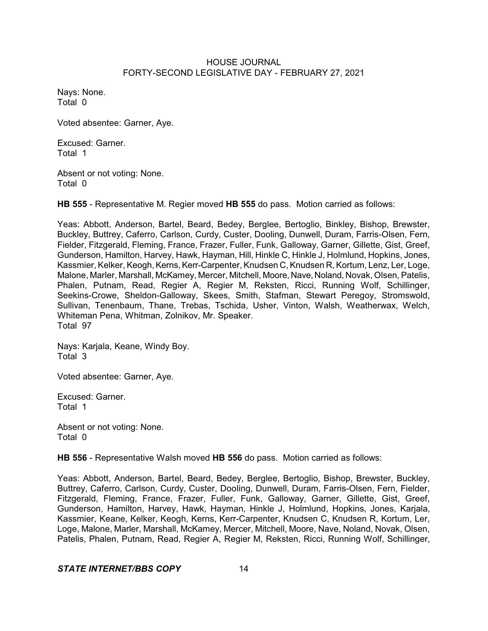Nays: None. Total 0

Voted absentee: Garner, Aye.

Excused: Garner. Total 1

Absent or not voting: None. Total 0

**HB 555** - Representative M. Regier moved **HB 555** do pass. Motion carried as follows:

Yeas: Abbott, Anderson, Bartel, Beard, Bedey, Berglee, Bertoglio, Binkley, Bishop, Brewster, Buckley, Buttrey, Caferro, Carlson, Curdy, Custer, Dooling, Dunwell, Duram, Farris-Olsen, Fern, Fielder, Fitzgerald, Fleming, France, Frazer, Fuller, Funk, Galloway, Garner, Gillette, Gist, Greef, Gunderson, Hamilton, Harvey, Hawk, Hayman, Hill, Hinkle C, Hinkle J, Holmlund, Hopkins, Jones, Kassmier, Kelker, Keogh, Kerns, Kerr-Carpenter, Knudsen C, Knudsen R, Kortum, Lenz, Ler, Loge, Malone, Marler, Marshall, McKamey, Mercer, Mitchell, Moore, Nave, Noland, Novak, Olsen, Patelis, Phalen, Putnam, Read, Regier A, Regier M, Reksten, Ricci, Running Wolf, Schillinger, Seekins-Crowe, Sheldon-Galloway, Skees, Smith, Stafman, Stewart Peregoy, Stromswold, Sullivan, Tenenbaum, Thane, Trebas, Tschida, Usher, Vinton, Walsh, Weatherwax, Welch, Whiteman Pena, Whitman, Zolnikov, Mr. Speaker. Total 97

Nays: Karjala, Keane, Windy Boy. Total 3

Voted absentee: Garner, Aye.

Excused: Garner. Total 1

Absent or not voting: None. Total 0

**HB 556** - Representative Walsh moved **HB 556** do pass. Motion carried as follows:

Yeas: Abbott, Anderson, Bartel, Beard, Bedey, Berglee, Bertoglio, Bishop, Brewster, Buckley, Buttrey, Caferro, Carlson, Curdy, Custer, Dooling, Dunwell, Duram, Farris-Olsen, Fern, Fielder, Fitzgerald, Fleming, France, Frazer, Fuller, Funk, Galloway, Garner, Gillette, Gist, Greef, Gunderson, Hamilton, Harvey, Hawk, Hayman, Hinkle J, Holmlund, Hopkins, Jones, Karjala, Kassmier, Keane, Kelker, Keogh, Kerns, Kerr-Carpenter, Knudsen C, Knudsen R, Kortum, Ler, Loge, Malone, Marler, Marshall, McKamey, Mercer, Mitchell, Moore, Nave, Noland, Novak, Olsen, Patelis, Phalen, Putnam, Read, Regier A, Regier M, Reksten, Ricci, Running Wolf, Schillinger,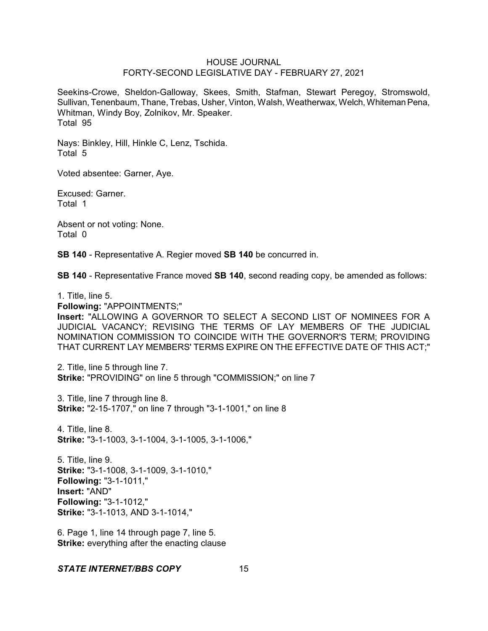Seekins-Crowe, Sheldon-Galloway, Skees, Smith, Stafman, Stewart Peregoy, Stromswold, Sullivan, Tenenbaum, Thane, Trebas, Usher, Vinton, Walsh, Weatherwax, Welch, Whiteman Pena, Whitman, Windy Boy, Zolnikov, Mr. Speaker. Total 95

Nays: Binkley, Hill, Hinkle C, Lenz, Tschida. Total 5

Voted absentee: Garner, Aye.

Excused: Garner. Total 1

Absent or not voting: None. Total 0

**SB 140** - Representative A. Regier moved **SB 140** be concurred in.

**SB 140** - Representative France moved **SB 140**, second reading copy, be amended as follows:

1. Title, line 5.

**Following:** "APPOINTMENTS;"

**Insert:** "ALLOWING A GOVERNOR TO SELECT A SECOND LIST OF NOMINEES FOR A JUDICIAL VACANCY; REVISING THE TERMS OF LAY MEMBERS OF THE JUDICIAL NOMINATION COMMISSION TO COINCIDE WITH THE GOVERNOR'S TERM; PROVIDING THAT CURRENT LAY MEMBERS' TERMS EXPIRE ON THE EFFECTIVE DATE OF THIS ACT;"

2. Title, line 5 through line 7. **Strike:** "PROVIDING" on line 5 through "COMMISSION;" on line 7

3. Title, line 7 through line 8. **Strike:** "2-15-1707," on line 7 through "3-1-1001," on line 8

4. Title, line 8. **Strike:** "3-1-1003, 3-1-1004, 3-1-1005, 3-1-1006,"

5. Title, line 9. **Strike:** "3-1-1008, 3-1-1009, 3-1-1010," **Following:** "3-1-1011," **Insert:** "AND" **Following:** "3-1-1012," **Strike:** "3-1-1013, AND 3-1-1014,"

6. Page 1, line 14 through page 7, line 5. **Strike:** everything after the enacting clause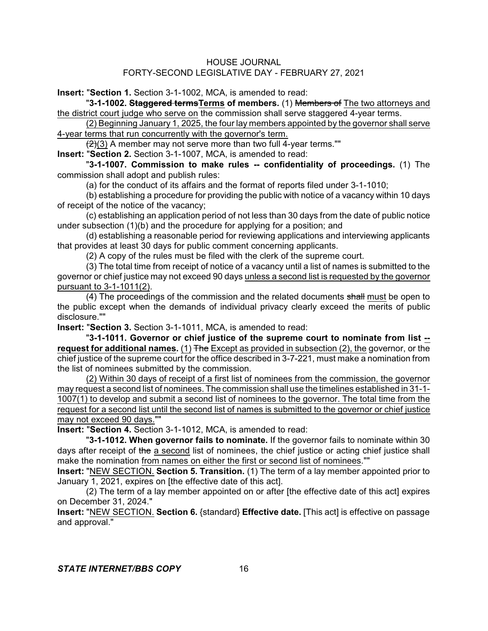**Insert:** "**Section 1.** Section 3-1-1002, MCA, is amended to read:

"**3-1-1002. Staggered termsTerms of members.** (1) Members of The two attorneys and the district court judge who serve on the commission shall serve staggered 4-year terms.

(2) Beginning January 1, 2025, the four lay members appointed by the governor shall serve 4-year terms that run concurrently with the governor's term.

 $\left(\frac{2}{3}\right)$  A member may not serve more than two full 4-year terms.""

**Insert:** "**Section 2.** Section 3-1-1007, MCA, is amended to read:

"**3-1-1007. Commission to make rules -- confidentiality of proceedings.** (1) The commission shall adopt and publish rules:

(a) for the conduct of its affairs and the format of reports filed under 3-1-1010;

(b) establishing a procedure for providing the public with notice of a vacancy within 10 days of receipt of the notice of the vacancy;

(c) establishing an application period of not less than 30 days from the date of public notice under subsection (1)(b) and the procedure for applying for a position; and

(d) establishing a reasonable period for reviewing applications and interviewing applicants that provides at least 30 days for public comment concerning applicants.

(2) A copy of the rules must be filed with the clerk of the supreme court.

(3) The total time from receipt of notice of a vacancy until a list of names is submitted to the governor or chief justice may not exceed 90 days unless a second list is requested by the governor pursuant to 3-1-1011(2).

(4) The proceedings of the commission and the related documents shall must be open to the public except when the demands of individual privacy clearly exceed the merits of public disclosure.""

**Insert:** "**Section 3.** Section 3-1-1011, MCA, is amended to read:

"**3-1-1011. Governor or chief justice of the supreme court to nominate from list - request for additional names.** (1) The Except as provided in subsection (2), the governor, or the chief justice of the supreme court for the office described in 3-7-221, must make a nomination from the list of nominees submitted by the commission.

(2) Within 30 days of receipt of a first list of nominees from the commission, the governor may request a second list of nominees. The commission shall use the timelines established in 31-1- 1007(1) to develop and submit a second list of nominees to the governor. The total time from the request for a second list until the second list of names is submitted to the governor or chief justice may not exceed 90 days.""

**Insert:** "**Section 4.** Section 3-1-1012, MCA, is amended to read:

"**3-1-1012. When governor fails to nominate.** If the governor fails to nominate within 30 days after receipt of the a second list of nominees, the chief justice or acting chief justice shall make the nomination from names on either the first or second list of nominees.""

**Insert:** "NEW SECTION. **Section 5. Transition.** (1) The term of a lay member appointed prior to January 1, 2021, expires on [the effective date of this act].

(2) The term of a lay member appointed on or after [the effective date of this act] expires on December 31, 2024."

**Insert:** "NEW SECTION. **Section 6.** {standard} **Effective date.** [This act] is effective on passage and approval."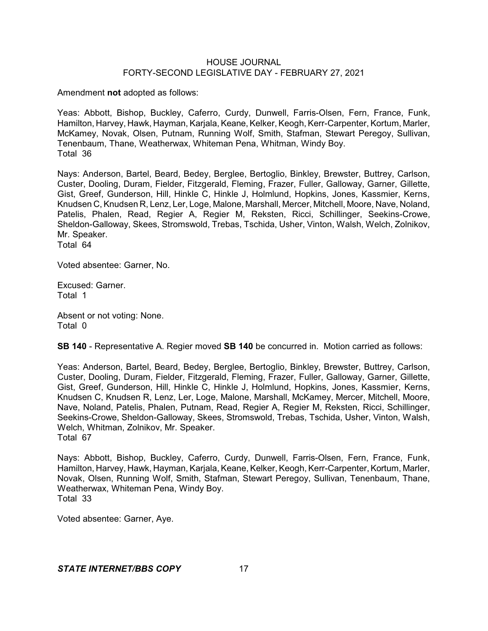Amendment **not** adopted as follows:

Yeas: Abbott, Bishop, Buckley, Caferro, Curdy, Dunwell, Farris-Olsen, Fern, France, Funk, Hamilton, Harvey, Hawk, Hayman, Karjala, Keane, Kelker, Keogh, Kerr-Carpenter, Kortum, Marler, McKamey, Novak, Olsen, Putnam, Running Wolf, Smith, Stafman, Stewart Peregoy, Sullivan, Tenenbaum, Thane, Weatherwax, Whiteman Pena, Whitman, Windy Boy. Total 36

Nays: Anderson, Bartel, Beard, Bedey, Berglee, Bertoglio, Binkley, Brewster, Buttrey, Carlson, Custer, Dooling, Duram, Fielder, Fitzgerald, Fleming, Frazer, Fuller, Galloway, Garner, Gillette, Gist, Greef, Gunderson, Hill, Hinkle C, Hinkle J, Holmlund, Hopkins, Jones, Kassmier, Kerns, Knudsen C, Knudsen R, Lenz, Ler, Loge, Malone, Marshall, Mercer, Mitchell, Moore, Nave, Noland, Patelis, Phalen, Read, Regier A, Regier M, Reksten, Ricci, Schillinger, Seekins-Crowe, Sheldon-Galloway, Skees, Stromswold, Trebas, Tschida, Usher, Vinton, Walsh, Welch, Zolnikov, Mr. Speaker. Total 64

Voted absentee: Garner, No.

Excused: Garner. Total 1

Absent or not voting: None. Total 0

**SB 140** - Representative A. Regier moved **SB 140** be concurred in. Motion carried as follows:

Yeas: Anderson, Bartel, Beard, Bedey, Berglee, Bertoglio, Binkley, Brewster, Buttrey, Carlson, Custer, Dooling, Duram, Fielder, Fitzgerald, Fleming, Frazer, Fuller, Galloway, Garner, Gillette, Gist, Greef, Gunderson, Hill, Hinkle C, Hinkle J, Holmlund, Hopkins, Jones, Kassmier, Kerns, Knudsen C, Knudsen R, Lenz, Ler, Loge, Malone, Marshall, McKamey, Mercer, Mitchell, Moore, Nave, Noland, Patelis, Phalen, Putnam, Read, Regier A, Regier M, Reksten, Ricci, Schillinger, Seekins-Crowe, Sheldon-Galloway, Skees, Stromswold, Trebas, Tschida, Usher, Vinton, Walsh, Welch, Whitman, Zolnikov, Mr. Speaker. Total 67

Nays: Abbott, Bishop, Buckley, Caferro, Curdy, Dunwell, Farris-Olsen, Fern, France, Funk, Hamilton, Harvey, Hawk, Hayman, Karjala, Keane, Kelker, Keogh, Kerr-Carpenter, Kortum, Marler, Novak, Olsen, Running Wolf, Smith, Stafman, Stewart Peregoy, Sullivan, Tenenbaum, Thane, Weatherwax, Whiteman Pena, Windy Boy. Total 33

Voted absentee: Garner, Aye.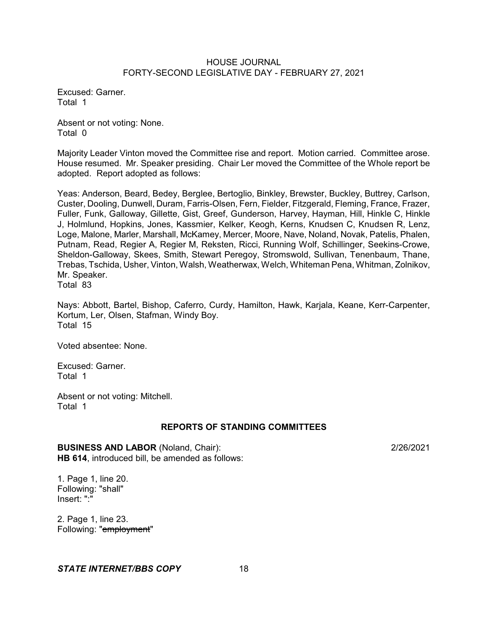Excused: Garner. Total 1

Absent or not voting: None. Total 0

Majority Leader Vinton moved the Committee rise and report. Motion carried. Committee arose. House resumed. Mr. Speaker presiding. Chair Ler moved the Committee of the Whole report be adopted. Report adopted as follows:

Yeas: Anderson, Beard, Bedey, Berglee, Bertoglio, Binkley, Brewster, Buckley, Buttrey, Carlson, Custer, Dooling, Dunwell, Duram, Farris-Olsen, Fern, Fielder, Fitzgerald, Fleming, France, Frazer, Fuller, Funk, Galloway, Gillette, Gist, Greef, Gunderson, Harvey, Hayman, Hill, Hinkle C, Hinkle J, Holmlund, Hopkins, Jones, Kassmier, Kelker, Keogh, Kerns, Knudsen C, Knudsen R, Lenz, Loge, Malone, Marler, Marshall, McKamey, Mercer, Moore, Nave, Noland, Novak, Patelis, Phalen, Putnam, Read, Regier A, Regier M, Reksten, Ricci, Running Wolf, Schillinger, Seekins-Crowe, Sheldon-Galloway, Skees, Smith, Stewart Peregoy, Stromswold, Sullivan, Tenenbaum, Thane, Trebas, Tschida, Usher, Vinton, Walsh, Weatherwax, Welch, Whiteman Pena, Whitman, Zolnikov, Mr. Speaker. Total 83

Nays: Abbott, Bartel, Bishop, Caferro, Curdy, Hamilton, Hawk, Karjala, Keane, Kerr-Carpenter, Kortum, Ler, Olsen, Stafman, Windy Boy. Total 15

Voted absentee: None.

Excused: Garner. Total 1

Absent or not voting: Mitchell. Total 1

# **REPORTS OF STANDING COMMITTEES**

**BUSINESS AND LABOR** (Noland, Chair): 2/26/2021 **HB 614**, introduced bill, be amended as follows:

1. Page 1, line 20. Following: "shall" Insert: ":"

2. Page 1, line 23. Following: "employment"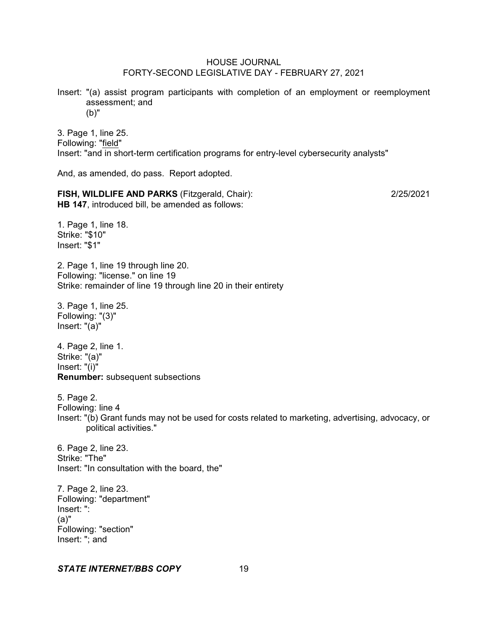Insert: "(a) assist program participants with completion of an employment or reemployment assessment; and (b)"

3. Page 1, line 25. Following: "field" Insert: "and in short-term certification programs for entry-level cybersecurity analysts"

And, as amended, do pass. Report adopted.

**FISH, WILDLIFE AND PARKS** (Fitzgerald, Chair): 2/25/2021 **HB 147**, introduced bill, be amended as follows:

1. Page 1, line 18. Strike: "\$10" Insert: "\$1"

2. Page 1, line 19 through line 20. Following: "license." on line 19 Strike: remainder of line 19 through line 20 in their entirety

3. Page 1, line 25. Following: "(3)" Insert: "(a)"

4. Page 2, line 1. Strike: "(a)" Insert: "(i)" **Renumber:** subsequent subsections

5. Page 2. Following: line 4 Insert: "(b) Grant funds may not be used for costs related to marketing, advertising, advocacy, or political activities."

6. Page 2, line 23. Strike: "The" Insert: "In consultation with the board, the"

7. Page 2, line 23. Following: "department" Insert: ": (a)" Following: "section" Insert: "; and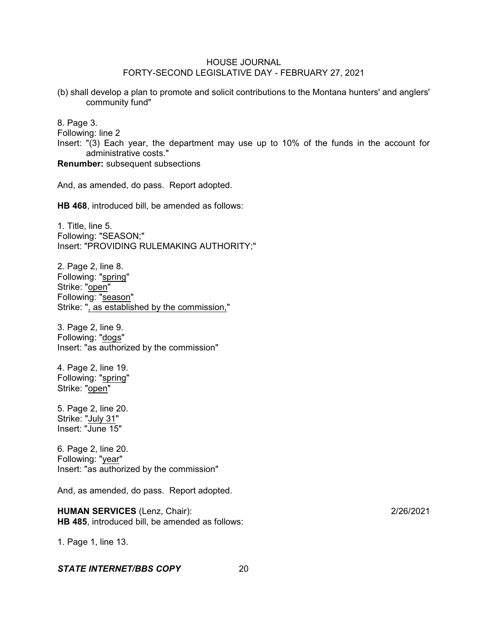(b) shall develop a plan to promote and solicit contributions to the Montana hunters' and anglers' community fund"

8. Page 3.

Following: line 2

Insert: "(3) Each year, the department may use up to 10% of the funds in the account for administrative costs."

**Renumber:** subsequent subsections

And, as amended, do pass. Report adopted.

**HB 468**, introduced bill, be amended as follows:

1. Title, line 5. Following: "SEASON;" Insert: "PROVIDING RULEMAKING AUTHORITY;"

2. Page 2, line 8. Following: "spring" Strike: "open" Following: "season" Strike: ", as established by the commission,"

3. Page 2, line 9. Following: "dogs" Insert: "as authorized by the commission"

4. Page 2, line 19. Following: "spring" Strike: "open"

5. Page 2, line 20. Strike: "July 31" Insert: "June 15"

6. Page 2, line 20. Following: "year" Insert: "as authorized by the commission"

And, as amended, do pass. Report adopted.

**HUMAN SERVICES** (Lenz, Chair): 2/26/2021 **HB 485**, introduced bill, be amended as follows:

1. Page 1, line 13.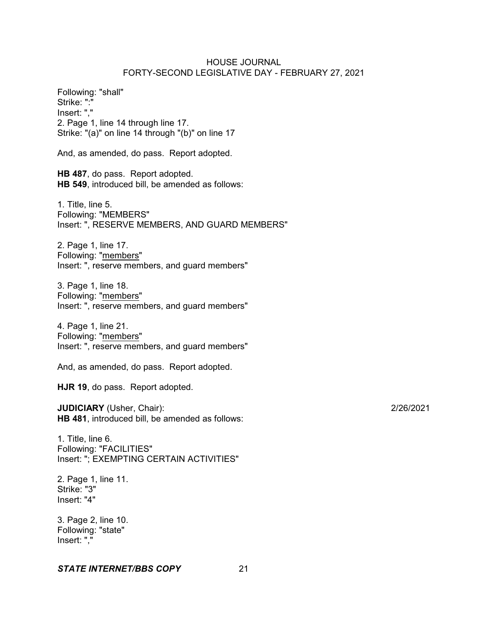Following: "shall" Strike: ":" Insert: "," 2. Page 1, line 14 through line 17. Strike: "(a)" on line 14 through "(b)" on line 17 And, as amended, do pass. Report adopted. **HB 487**, do pass. Report adopted. **HB 549**, introduced bill, be amended as follows: 1. Title, line 5. Following: "MEMBERS" Insert: ", RESERVE MEMBERS, AND GUARD MEMBERS" 2. Page 1, line 17. Following: "members" Insert: ", reserve members, and guard members" 3. Page 1, line 18. Following: "members" Insert: ", reserve members, and guard members" 4. Page 1, line 21. Following: "members" Insert: ", reserve members, and guard members"

And, as amended, do pass. Report adopted.

**HJR 19**, do pass. Report adopted.

**JUDICIARY** (Usher, Chair): 2/26/2021 **HB 481**, introduced bill, be amended as follows:

1. Title, line 6. Following: "FACILITIES" Insert: "; EXEMPTING CERTAIN ACTIVITIES"

2. Page 1, line 11. Strike: "3" Insert: "4"

3. Page 2, line 10. Following: "state" Insert: ","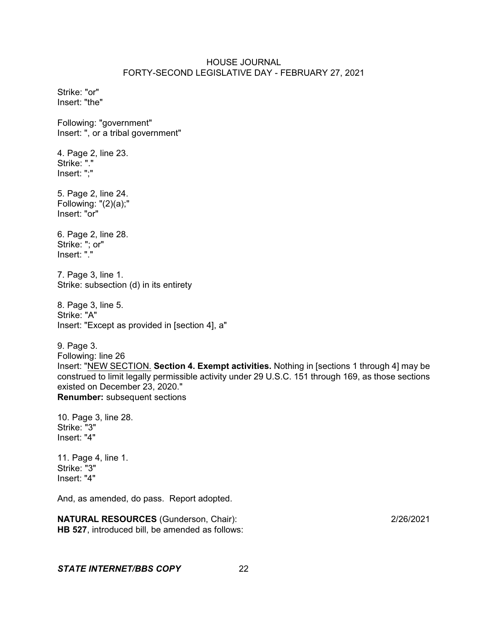Strike: "or" Insert: "the" Following: "government" Insert: ", or a tribal government" 4. Page 2, line 23. Strike: "." Insert: ";" 5. Page 2, line 24. Following: "(2)(a);" Insert: "or" 6. Page 2, line 28. Strike: "; or" Insert: "." 7. Page 3, line 1. Strike: subsection (d) in its entirety 8. Page 3, line 5. Strike: "A" Insert: "Except as provided in [section 4], a" 9. Page 3. Following: line 26 Insert: "NEW SECTION. **Section 4. Exempt activities.** Nothing in [sections 1 through 4] may be construed to limit legally permissible activity under 29 U.S.C. 151 through 169, as those sections existed on December 23, 2020." **Renumber:** subsequent sections

10. Page 3, line 28. Strike: "3" Insert: "4"

11. Page 4, line 1. Strike: "3" Insert: "4"

And, as amended, do pass. Report adopted.

**NATURAL RESOURCES** (Gunderson, Chair): 2/26/2021 **HB 527**, introduced bill, be amended as follows: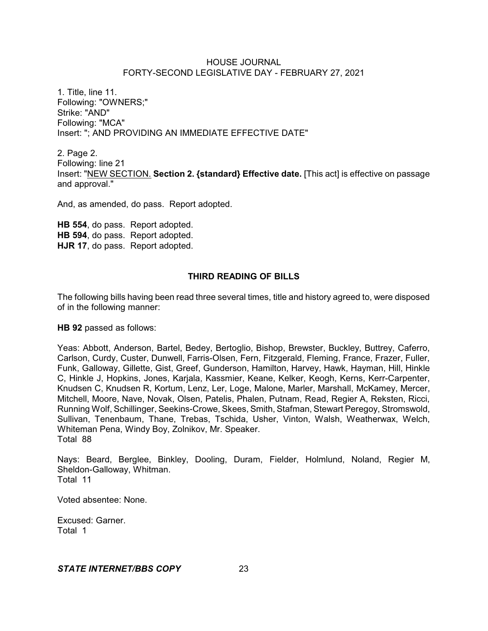1. Title, line 11. Following: "OWNERS;" Strike: "AND" Following: "MCA" Insert: "; AND PROVIDING AN IMMEDIATE EFFECTIVE DATE"

2. Page 2. Following: line 21 Insert: "NEW SECTION. **Section 2. {standard} Effective date.** [This act] is effective on passage and approval."

And, as amended, do pass. Report adopted.

**HB 554**, do pass. Report adopted. **HB 594**, do pass. Report adopted. **HJR 17**, do pass. Report adopted.

# **THIRD READING OF BILLS**

The following bills having been read three several times, title and history agreed to, were disposed of in the following manner:

**HB 92** passed as follows:

Yeas: Abbott, Anderson, Bartel, Bedey, Bertoglio, Bishop, Brewster, Buckley, Buttrey, Caferro, Carlson, Curdy, Custer, Dunwell, Farris-Olsen, Fern, Fitzgerald, Fleming, France, Frazer, Fuller, Funk, Galloway, Gillette, Gist, Greef, Gunderson, Hamilton, Harvey, Hawk, Hayman, Hill, Hinkle C, Hinkle J, Hopkins, Jones, Karjala, Kassmier, Keane, Kelker, Keogh, Kerns, Kerr-Carpenter, Knudsen C, Knudsen R, Kortum, Lenz, Ler, Loge, Malone, Marler, Marshall, McKamey, Mercer, Mitchell, Moore, Nave, Novak, Olsen, Patelis, Phalen, Putnam, Read, Regier A, Reksten, Ricci, Running Wolf, Schillinger, Seekins-Crowe, Skees, Smith, Stafman, Stewart Peregoy, Stromswold, Sullivan, Tenenbaum, Thane, Trebas, Tschida, Usher, Vinton, Walsh, Weatherwax, Welch, Whiteman Pena, Windy Boy, Zolnikov, Mr. Speaker. Total 88

Nays: Beard, Berglee, Binkley, Dooling, Duram, Fielder, Holmlund, Noland, Regier M, Sheldon-Galloway, Whitman. Total 11

Voted absentee: None.

Excused: Garner. Total 1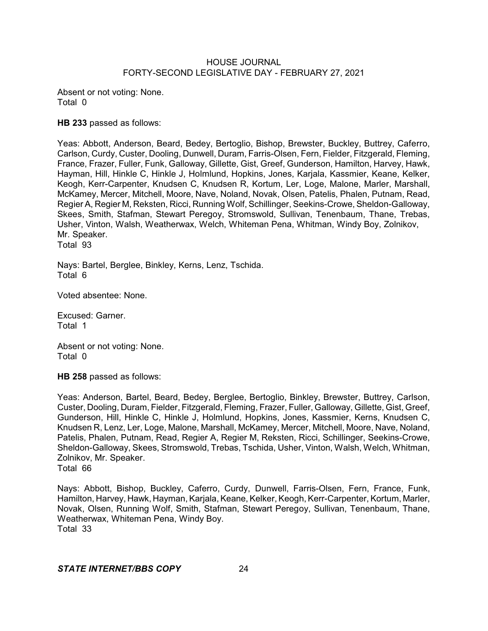Absent or not voting: None. Total 0

**HB 233** passed as follows:

Yeas: Abbott, Anderson, Beard, Bedey, Bertoglio, Bishop, Brewster, Buckley, Buttrey, Caferro, Carlson, Curdy, Custer, Dooling, Dunwell, Duram, Farris-Olsen, Fern, Fielder, Fitzgerald, Fleming, France, Frazer, Fuller, Funk, Galloway, Gillette, Gist, Greef, Gunderson, Hamilton, Harvey, Hawk, Hayman, Hill, Hinkle C, Hinkle J, Holmlund, Hopkins, Jones, Karjala, Kassmier, Keane, Kelker, Keogh, Kerr-Carpenter, Knudsen C, Knudsen R, Kortum, Ler, Loge, Malone, Marler, Marshall, McKamey, Mercer, Mitchell, Moore, Nave, Noland, Novak, Olsen, Patelis, Phalen, Putnam, Read, Regier A, Regier M, Reksten, Ricci, Running Wolf, Schillinger, Seekins-Crowe, Sheldon-Galloway, Skees, Smith, Stafman, Stewart Peregoy, Stromswold, Sullivan, Tenenbaum, Thane, Trebas, Usher, Vinton, Walsh, Weatherwax, Welch, Whiteman Pena, Whitman, Windy Boy, Zolnikov, Mr. Speaker. Total 93

Nays: Bartel, Berglee, Binkley, Kerns, Lenz, Tschida. Total 6

Voted absentee: None.

Excused: Garner. Total 1

Absent or not voting: None. Total 0

**HB 258** passed as follows:

Yeas: Anderson, Bartel, Beard, Bedey, Berglee, Bertoglio, Binkley, Brewster, Buttrey, Carlson, Custer, Dooling, Duram, Fielder, Fitzgerald, Fleming, Frazer, Fuller, Galloway, Gillette, Gist, Greef, Gunderson, Hill, Hinkle C, Hinkle J, Holmlund, Hopkins, Jones, Kassmier, Kerns, Knudsen C, Knudsen R, Lenz, Ler, Loge, Malone, Marshall, McKamey, Mercer, Mitchell, Moore, Nave, Noland, Patelis, Phalen, Putnam, Read, Regier A, Regier M, Reksten, Ricci, Schillinger, Seekins-Crowe, Sheldon-Galloway, Skees, Stromswold, Trebas, Tschida, Usher, Vinton, Walsh, Welch, Whitman, Zolnikov, Mr. Speaker. Total 66

Nays: Abbott, Bishop, Buckley, Caferro, Curdy, Dunwell, Farris-Olsen, Fern, France, Funk, Hamilton, Harvey, Hawk, Hayman, Karjala, Keane, Kelker, Keogh, Kerr-Carpenter, Kortum, Marler, Novak, Olsen, Running Wolf, Smith, Stafman, Stewart Peregoy, Sullivan, Tenenbaum, Thane, Weatherwax, Whiteman Pena, Windy Boy. Total 33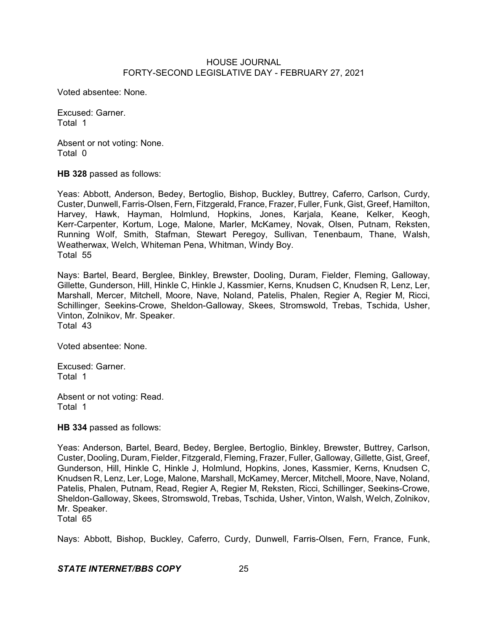Voted absentee: None.

Excused: Garner. Total 1

Absent or not voting: None. Total 0

**HB 328** passed as follows:

Yeas: Abbott, Anderson, Bedey, Bertoglio, Bishop, Buckley, Buttrey, Caferro, Carlson, Curdy, Custer, Dunwell, Farris-Olsen, Fern, Fitzgerald, France, Frazer, Fuller, Funk, Gist, Greef, Hamilton, Harvey, Hawk, Hayman, Holmlund, Hopkins, Jones, Karjala, Keane, Kelker, Keogh, Kerr-Carpenter, Kortum, Loge, Malone, Marler, McKamey, Novak, Olsen, Putnam, Reksten, Running Wolf, Smith, Stafman, Stewart Peregoy, Sullivan, Tenenbaum, Thane, Walsh, Weatherwax, Welch, Whiteman Pena, Whitman, Windy Boy. Total 55

Nays: Bartel, Beard, Berglee, Binkley, Brewster, Dooling, Duram, Fielder, Fleming, Galloway, Gillette, Gunderson, Hill, Hinkle C, Hinkle J, Kassmier, Kerns, Knudsen C, Knudsen R, Lenz, Ler, Marshall, Mercer, Mitchell, Moore, Nave, Noland, Patelis, Phalen, Regier A, Regier M, Ricci, Schillinger, Seekins-Crowe, Sheldon-Galloway, Skees, Stromswold, Trebas, Tschida, Usher, Vinton, Zolnikov, Mr. Speaker. Total 43

Voted absentee: None.

Excused: Garner. Total 1

Absent or not voting: Read. Total 1

**HB 334** passed as follows:

Yeas: Anderson, Bartel, Beard, Bedey, Berglee, Bertoglio, Binkley, Brewster, Buttrey, Carlson, Custer, Dooling, Duram, Fielder, Fitzgerald, Fleming, Frazer, Fuller, Galloway, Gillette, Gist, Greef, Gunderson, Hill, Hinkle C, Hinkle J, Holmlund, Hopkins, Jones, Kassmier, Kerns, Knudsen C, Knudsen R, Lenz, Ler, Loge, Malone, Marshall, McKamey, Mercer, Mitchell, Moore, Nave, Noland, Patelis, Phalen, Putnam, Read, Regier A, Regier M, Reksten, Ricci, Schillinger, Seekins-Crowe, Sheldon-Galloway, Skees, Stromswold, Trebas, Tschida, Usher, Vinton, Walsh, Welch, Zolnikov, Mr. Speaker.

Total 65

Nays: Abbott, Bishop, Buckley, Caferro, Curdy, Dunwell, Farris-Olsen, Fern, France, Funk,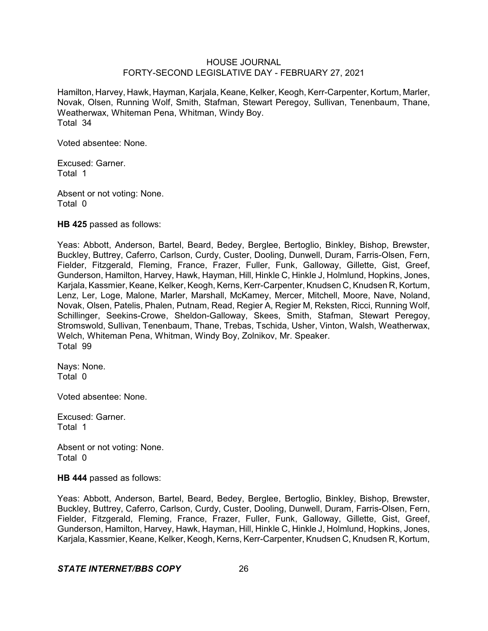Hamilton, Harvey, Hawk, Hayman, Karjala, Keane, Kelker, Keogh, Kerr-Carpenter, Kortum, Marler, Novak, Olsen, Running Wolf, Smith, Stafman, Stewart Peregoy, Sullivan, Tenenbaum, Thane, Weatherwax, Whiteman Pena, Whitman, Windy Boy. Total 34

Voted absentee: None.

Excused: Garner. Total 1

Absent or not voting: None. Total 0

**HB 425** passed as follows:

Yeas: Abbott, Anderson, Bartel, Beard, Bedey, Berglee, Bertoglio, Binkley, Bishop, Brewster, Buckley, Buttrey, Caferro, Carlson, Curdy, Custer, Dooling, Dunwell, Duram, Farris-Olsen, Fern, Fielder, Fitzgerald, Fleming, France, Frazer, Fuller, Funk, Galloway, Gillette, Gist, Greef, Gunderson, Hamilton, Harvey, Hawk, Hayman, Hill, Hinkle C, Hinkle J, Holmlund, Hopkins, Jones, Karjala, Kassmier, Keane, Kelker, Keogh, Kerns, Kerr-Carpenter, Knudsen C, Knudsen R, Kortum, Lenz, Ler, Loge, Malone, Marler, Marshall, McKamey, Mercer, Mitchell, Moore, Nave, Noland, Novak, Olsen, Patelis, Phalen, Putnam, Read, Regier A, Regier M, Reksten, Ricci, Running Wolf, Schillinger, Seekins-Crowe, Sheldon-Galloway, Skees, Smith, Stafman, Stewart Peregoy, Stromswold, Sullivan, Tenenbaum, Thane, Trebas, Tschida, Usher, Vinton, Walsh, Weatherwax, Welch, Whiteman Pena, Whitman, Windy Boy, Zolnikov, Mr. Speaker. Total 99

Nays: None. Total 0

Voted absentee: None.

Excused: Garner. Total 1

Absent or not voting: None. Total 0

**HB 444** passed as follows:

Yeas: Abbott, Anderson, Bartel, Beard, Bedey, Berglee, Bertoglio, Binkley, Bishop, Brewster, Buckley, Buttrey, Caferro, Carlson, Curdy, Custer, Dooling, Dunwell, Duram, Farris-Olsen, Fern, Fielder, Fitzgerald, Fleming, France, Frazer, Fuller, Funk, Galloway, Gillette, Gist, Greef, Gunderson, Hamilton, Harvey, Hawk, Hayman, Hill, Hinkle C, Hinkle J, Holmlund, Hopkins, Jones, Karjala, Kassmier, Keane, Kelker, Keogh, Kerns, Kerr-Carpenter, Knudsen C, Knudsen R, Kortum,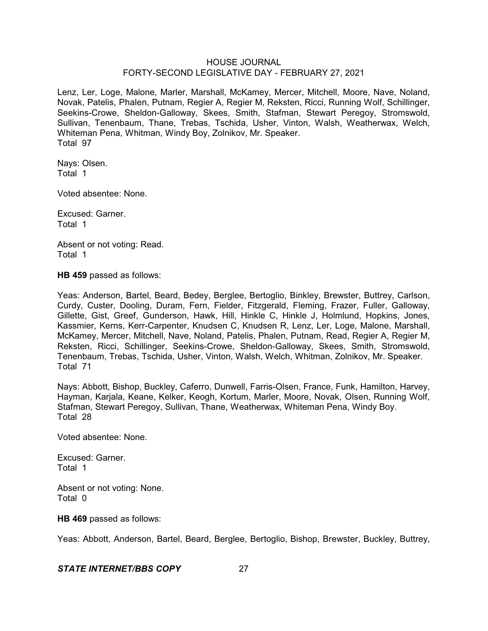Lenz, Ler, Loge, Malone, Marler, Marshall, McKamey, Mercer, Mitchell, Moore, Nave, Noland, Novak, Patelis, Phalen, Putnam, Regier A, Regier M, Reksten, Ricci, Running Wolf, Schillinger, Seekins-Crowe, Sheldon-Galloway, Skees, Smith, Stafman, Stewart Peregoy, Stromswold, Sullivan, Tenenbaum, Thane, Trebas, Tschida, Usher, Vinton, Walsh, Weatherwax, Welch, Whiteman Pena, Whitman, Windy Boy, Zolnikov, Mr. Speaker. Total 97

Nays: Olsen. Total 1

Voted absentee: None.

Excused: Garner. Total 1

Absent or not voting: Read. Total 1

**HB 459** passed as follows:

Yeas: Anderson, Bartel, Beard, Bedey, Berglee, Bertoglio, Binkley, Brewster, Buttrey, Carlson, Curdy, Custer, Dooling, Duram, Fern, Fielder, Fitzgerald, Fleming, Frazer, Fuller, Galloway, Gillette, Gist, Greef, Gunderson, Hawk, Hill, Hinkle C, Hinkle J, Holmlund, Hopkins, Jones, Kassmier, Kerns, Kerr-Carpenter, Knudsen C, Knudsen R, Lenz, Ler, Loge, Malone, Marshall, McKamey, Mercer, Mitchell, Nave, Noland, Patelis, Phalen, Putnam, Read, Regier A, Regier M, Reksten, Ricci, Schillinger, Seekins-Crowe, Sheldon-Galloway, Skees, Smith, Stromswold, Tenenbaum, Trebas, Tschida, Usher, Vinton, Walsh, Welch, Whitman, Zolnikov, Mr. Speaker. Total 71

Nays: Abbott, Bishop, Buckley, Caferro, Dunwell, Farris-Olsen, France, Funk, Hamilton, Harvey, Hayman, Karjala, Keane, Kelker, Keogh, Kortum, Marler, Moore, Novak, Olsen, Running Wolf, Stafman, Stewart Peregoy, Sullivan, Thane, Weatherwax, Whiteman Pena, Windy Boy. Total 28

Voted absentee: None.

Excused: Garner. Total 1

Absent or not voting: None. Total 0

**HB 469** passed as follows:

Yeas: Abbott, Anderson, Bartel, Beard, Berglee, Bertoglio, Bishop, Brewster, Buckley, Buttrey,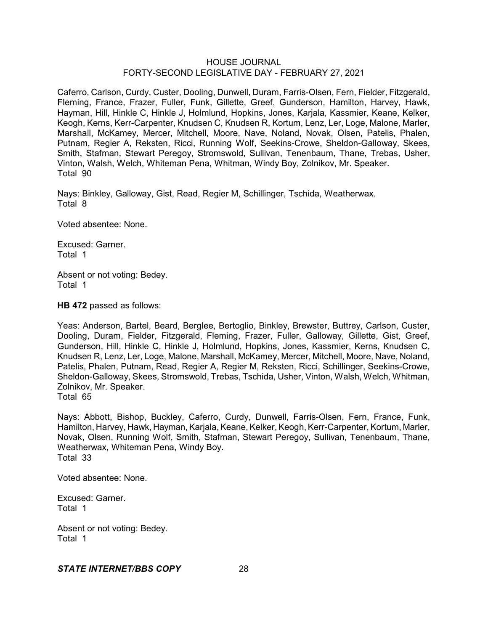Caferro, Carlson, Curdy, Custer, Dooling, Dunwell, Duram, Farris-Olsen, Fern, Fielder, Fitzgerald, Fleming, France, Frazer, Fuller, Funk, Gillette, Greef, Gunderson, Hamilton, Harvey, Hawk, Hayman, Hill, Hinkle C, Hinkle J, Holmlund, Hopkins, Jones, Karjala, Kassmier, Keane, Kelker, Keogh, Kerns, Kerr-Carpenter, Knudsen C, Knudsen R, Kortum, Lenz, Ler, Loge, Malone, Marler, Marshall, McKamey, Mercer, Mitchell, Moore, Nave, Noland, Novak, Olsen, Patelis, Phalen, Putnam, Regier A, Reksten, Ricci, Running Wolf, Seekins-Crowe, Sheldon-Galloway, Skees, Smith, Stafman, Stewart Peregoy, Stromswold, Sullivan, Tenenbaum, Thane, Trebas, Usher, Vinton, Walsh, Welch, Whiteman Pena, Whitman, Windy Boy, Zolnikov, Mr. Speaker. Total 90

Nays: Binkley, Galloway, Gist, Read, Regier M, Schillinger, Tschida, Weatherwax. Total 8

Voted absentee: None.

Excused: Garner. Total 1

Absent or not voting: Bedey. Total 1

**HB 472** passed as follows:

Yeas: Anderson, Bartel, Beard, Berglee, Bertoglio, Binkley, Brewster, Buttrey, Carlson, Custer, Dooling, Duram, Fielder, Fitzgerald, Fleming, Frazer, Fuller, Galloway, Gillette, Gist, Greef, Gunderson, Hill, Hinkle C, Hinkle J, Holmlund, Hopkins, Jones, Kassmier, Kerns, Knudsen C, Knudsen R, Lenz, Ler, Loge, Malone, Marshall, McKamey, Mercer, Mitchell, Moore, Nave, Noland, Patelis, Phalen, Putnam, Read, Regier A, Regier M, Reksten, Ricci, Schillinger, Seekins-Crowe, Sheldon-Galloway, Skees, Stromswold, Trebas, Tschida, Usher, Vinton, Walsh, Welch, Whitman, Zolnikov, Mr. Speaker. Total 65

Nays: Abbott, Bishop, Buckley, Caferro, Curdy, Dunwell, Farris-Olsen, Fern, France, Funk, Hamilton, Harvey, Hawk, Hayman, Karjala, Keane, Kelker, Keogh, Kerr-Carpenter, Kortum, Marler, Novak, Olsen, Running Wolf, Smith, Stafman, Stewart Peregoy, Sullivan, Tenenbaum, Thane, Weatherwax, Whiteman Pena, Windy Boy. Total 33

Voted absentee: None.

Excused: Garner. Total 1

Absent or not voting: Bedey. Total 1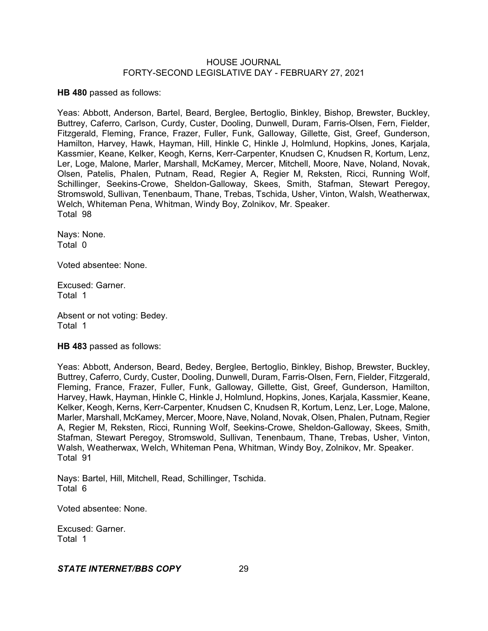**HB 480** passed as follows:

Yeas: Abbott, Anderson, Bartel, Beard, Berglee, Bertoglio, Binkley, Bishop, Brewster, Buckley, Buttrey, Caferro, Carlson, Curdy, Custer, Dooling, Dunwell, Duram, Farris-Olsen, Fern, Fielder, Fitzgerald, Fleming, France, Frazer, Fuller, Funk, Galloway, Gillette, Gist, Greef, Gunderson, Hamilton, Harvey, Hawk, Hayman, Hill, Hinkle C, Hinkle J, Holmlund, Hopkins, Jones, Karjala, Kassmier, Keane, Kelker, Keogh, Kerns, Kerr-Carpenter, Knudsen C, Knudsen R, Kortum, Lenz, Ler, Loge, Malone, Marler, Marshall, McKamey, Mercer, Mitchell, Moore, Nave, Noland, Novak, Olsen, Patelis, Phalen, Putnam, Read, Regier A, Regier M, Reksten, Ricci, Running Wolf, Schillinger, Seekins-Crowe, Sheldon-Galloway, Skees, Smith, Stafman, Stewart Peregoy, Stromswold, Sullivan, Tenenbaum, Thane, Trebas, Tschida, Usher, Vinton, Walsh, Weatherwax, Welch, Whiteman Pena, Whitman, Windy Boy, Zolnikov, Mr. Speaker. Total 98

Nays: None. Total 0

Voted absentee: None.

Excused: Garner. Total 1

Absent or not voting: Bedey. Total 1

**HB 483** passed as follows:

Yeas: Abbott, Anderson, Beard, Bedey, Berglee, Bertoglio, Binkley, Bishop, Brewster, Buckley, Buttrey, Caferro, Curdy, Custer, Dooling, Dunwell, Duram, Farris-Olsen, Fern, Fielder, Fitzgerald, Fleming, France, Frazer, Fuller, Funk, Galloway, Gillette, Gist, Greef, Gunderson, Hamilton, Harvey, Hawk, Hayman, Hinkle C, Hinkle J, Holmlund, Hopkins, Jones, Karjala, Kassmier, Keane, Kelker, Keogh, Kerns, Kerr-Carpenter, Knudsen C, Knudsen R, Kortum, Lenz, Ler, Loge, Malone, Marler, Marshall, McKamey, Mercer, Moore, Nave, Noland, Novak, Olsen, Phalen, Putnam, Regier A, Regier M, Reksten, Ricci, Running Wolf, Seekins-Crowe, Sheldon-Galloway, Skees, Smith, Stafman, Stewart Peregoy, Stromswold, Sullivan, Tenenbaum, Thane, Trebas, Usher, Vinton, Walsh, Weatherwax, Welch, Whiteman Pena, Whitman, Windy Boy, Zolnikov, Mr. Speaker. Total 91

Nays: Bartel, Hill, Mitchell, Read, Schillinger, Tschida. Total 6

Voted absentee: None.

Excused: Garner. Total 1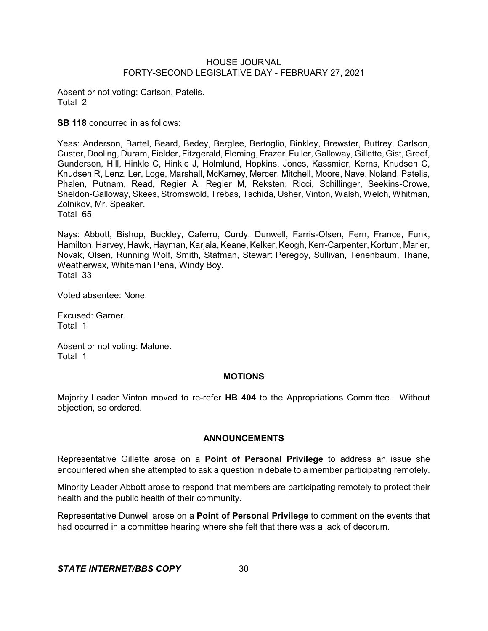Absent or not voting: Carlson, Patelis. Total 2

**SB 118** concurred in as follows:

Yeas: Anderson, Bartel, Beard, Bedey, Berglee, Bertoglio, Binkley, Brewster, Buttrey, Carlson, Custer, Dooling, Duram, Fielder, Fitzgerald, Fleming, Frazer, Fuller, Galloway, Gillette, Gist, Greef, Gunderson, Hill, Hinkle C, Hinkle J, Holmlund, Hopkins, Jones, Kassmier, Kerns, Knudsen C, Knudsen R, Lenz, Ler, Loge, Marshall, McKamey, Mercer, Mitchell, Moore, Nave, Noland, Patelis, Phalen, Putnam, Read, Regier A, Regier M, Reksten, Ricci, Schillinger, Seekins-Crowe, Sheldon-Galloway, Skees, Stromswold, Trebas, Tschida, Usher, Vinton, Walsh, Welch, Whitman, Zolnikov, Mr. Speaker.

Total 65

Nays: Abbott, Bishop, Buckley, Caferro, Curdy, Dunwell, Farris-Olsen, Fern, France, Funk, Hamilton, Harvey, Hawk, Hayman, Karjala, Keane, Kelker, Keogh, Kerr-Carpenter, Kortum, Marler, Novak, Olsen, Running Wolf, Smith, Stafman, Stewart Peregoy, Sullivan, Tenenbaum, Thane, Weatherwax, Whiteman Pena, Windy Boy. Total 33

Voted absentee: None.

Excused: Garner. Total 1

Absent or not voting: Malone. Total 1

# **MOTIONS**

Majority Leader Vinton moved to re-refer **HB 404** to the Appropriations Committee. Without objection, so ordered.

# **ANNOUNCEMENTS**

Representative Gillette arose on a **Point of Personal Privilege** to address an issue she encountered when she attempted to ask a question in debate to a member participating remotely.

Minority Leader Abbott arose to respond that members are participating remotely to protect their health and the public health of their community.

Representative Dunwell arose on a **Point of Personal Privilege** to comment on the events that had occurred in a committee hearing where she felt that there was a lack of decorum.